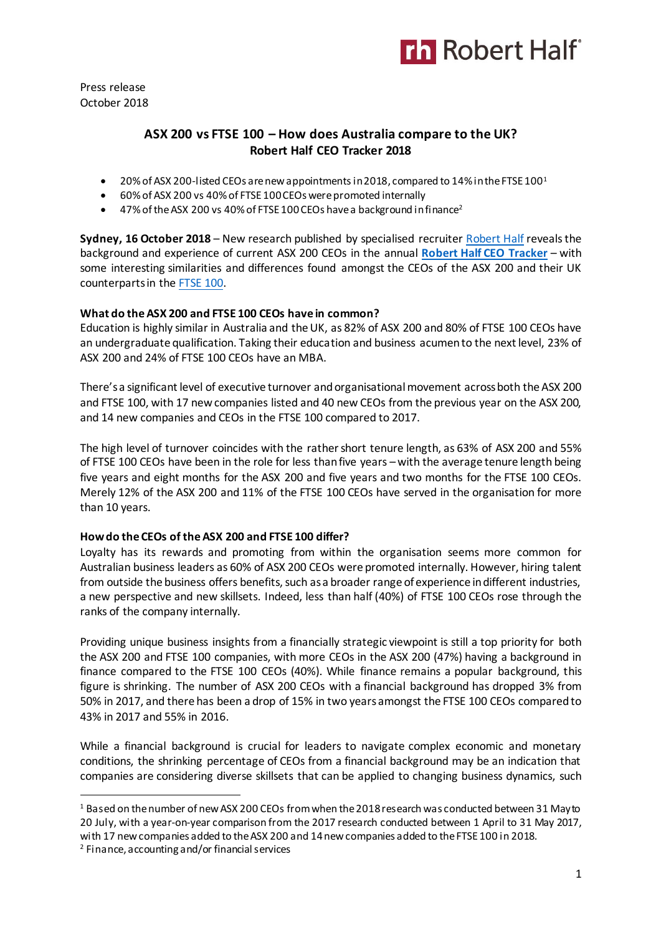

Press release October 2018

## **ASX 200 vs FTSE 100 – How does Australia compare to the UK? Robert Half CEO Tracker 2018**

- 20% of ASX 200-listed CEOs are new appointments in 2018, compared to 14% in the FTSE  $100<sup>1</sup>$
- 60% of ASX 200 vs 40% of FTSE 100 CEOs were promoted internally
- $\bullet$  47% of the ASX 200 vs 40% of FTSE 100 CEOs have a background in finance<sup>2</sup>

**Sydney, 16 October 2018** – New research published by specialised recruiter [Robert Half](https://www.roberthalf.com.au/?utm_source=roberthalf&utm_medium=pressrelease&utm_campaign=rh-all-nonspecific-ongoing) reveals the background and experience of current ASX 200 CEOs in the annual **[Robert Half CEO Tracker](https://www.roberthalf.com.au/research-insights/ceo-tracker?utm_source=roberthalf&utm_medium=pressrelease&utm_campaign=rh-all-ceotracker-ongoing)** – with some interesting similarities and differences found amongst the CEOs of the ASX 200 and their UK counterparts in th[e FTSE 100.](https://www.roberthalf.co.uk/expertise-advice/research-insights/reports-guides/ftse-100-ceo-tracker?utm_source=roberthalf&utm_medium=pressrelease&utm_campaign=rh-all-ceotracker-ongoing)

#### **What do the ASX 200 and FTSE 100 CEOs have in common?**

Education is highly similar in Australia and the UK, as 82% of ASX 200 and 80% of FTSE 100 CEOs have an undergraduate qualification. Taking their education and business acumen to the next level, 23% of ASX 200 and 24% of FTSE 100 CEOs have an MBA.

There's a significant level of executive turnover and organisational movement across both the ASX 200 and FTSE 100, with 17 new companies listed and 40 new CEOs from the previous year on the ASX 200, and 14 new companies and CEOs in the FTSE 100 compared to 2017.

The high level of turnover coincides with the rather short tenure length, as 63% of ASX 200 and 55% of FTSE 100 CEOs have been in the role for less than five years – with the average tenure length being five years and eight months for the ASX 200 and five years and two months for the FTSE 100 CEOs. Merely 12% of the ASX 200 and 11% of the FTSE 100 CEOs have served in the organisation for more than 10 years.

#### **How do the CEOs of the ASX 200 and FTSE 100 differ?**

Loyalty has its rewards and promoting from within the organisation seems more common for Australian business leaders as 60% of ASX 200 CEOs were promoted internally. However, hiring talent from outside the business offers benefits, such as a broader range of experience in different industries, a new perspective and new skillsets. Indeed, less than half (40%) of FTSE 100 CEOs rose through the ranks of the company internally.

Providing unique business insights from a financially strategic viewpoint is still a top priority for both the ASX 200 and FTSE 100 companies, with more CEOs in the ASX 200 (47%) having a background in finance compared to the FTSE 100 CEOs (40%). While finance remains a popular background, this figure is shrinking. The number of ASX 200 CEOs with a financial background has dropped 3% from 50% in 2017, and there has been a drop of 15% in two years amongst the FTSE 100 CEOs compared to 43% in 2017 and 55% in 2016.

While a financial background is crucial for leaders to navigate complex economic and monetary conditions, the shrinking percentage of CEOs from a financial background may be an indication that companies are considering diverse skillsets that can be applied to changing business dynamics, such

 $\overline{a}$ 

<sup>1</sup> Based on the number of new ASX 200 CEOs from when the 2018 research was conducted between 31 May to 20 July, with a year-on-year comparison from the 2017 research conducted between 1 April to 31 May 2017, with 17 new companies added to the ASX 200 and 14 new companies added to the FTSE 100 in 2018.

<sup>2</sup> Finance, accounting and/or financial services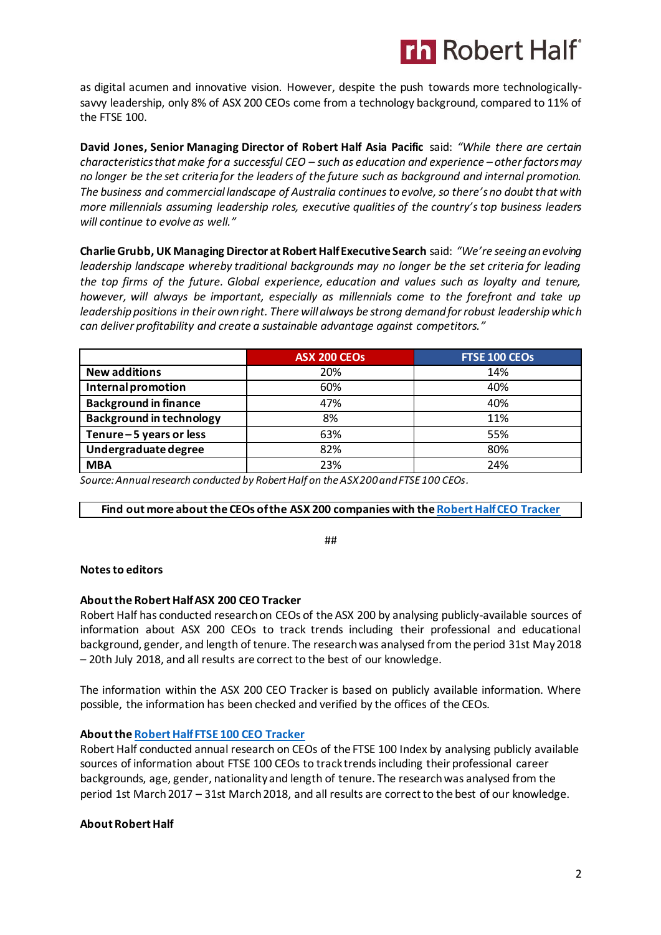# **Th Robert Half**

as digital acumen and innovative vision. However, despite the push towards more technologicallysavvy leadership, only 8% of ASX 200 CEOs come from a technology background, compared to 11% of the FTSE 100.

**David Jones, Senior Managing Director of Robert Half Asia Pacific** said: *"While there are certain characteristics that make for a successful CEO – such as education and experience – other factors may no longer be the set criteria for the leaders of the future such as background and internal promotion. The business and commercial landscape of Australia continues to evolve, so there's no doubt that with more millennials assuming leadership roles, executive qualities of the country's top business leaders will continue to evolve as well."*

**Charlie Grubb, UK Managing Director at Robert Half Executive Search** said: *"We're seeing an evolving leadership landscape whereby traditional backgrounds may no longer be the set criteria for leading the top firms of the future. Global experience, education and values such as loyalty and tenure, however, will always be important, especially as millennials come to the forefront and take up leadership positions in their own right. There will always be strong demand for robust leadership which can deliver profitability and create a sustainable advantage against competitors."*

|                                 | ASX 200 CEOS | <b>FTSE 100 CEOS</b> |
|---------------------------------|--------------|----------------------|
| <b>New additions</b>            | 20%          | 14%                  |
| Internal promotion              | 60%          | 40%                  |
| <b>Background in finance</b>    | 47%          | 40%                  |
| <b>Background in technology</b> | 8%           | 11%                  |
| Tenure-5 years or less          | 63%          | 55%                  |
| Undergraduate degree            | 82%          | 80%                  |
| <b>MBA</b>                      | 23%          | 24%                  |

*Source: Annual research conducted by Robert Half on the ASX 200 and FTSE 100 CEOs.*

#### **Find out more about the CEOs of the ASX 200 companies with th[e Robert Half CEO Tracker](https://www.roberthalf.com.au/research-insights/ceo-tracker?utm_source=roberthalf&utm_medium=pressrelease&utm_campaign=rh-all-ceotracker-ongoing)**

##

#### **Notes to editors**

### **About the Robert Half ASX 200 CEO Tracker**

Robert Half has conducted research on CEOs of the ASX 200 by analysing publicly-available sources of information about ASX 200 CEOs to track trends including their professional and educational background, gender, and length of tenure. The research was analysed from the period 31st May 2018 – 20th July 2018, and all results are correct to the best of our knowledge.

The information within the ASX 200 CEO Tracker is based on publicly available information. Where possible, the information has been checked and verified by the offices of the CEOs.

#### **About th[e Robert Half FTSE 100 CEO Tracker](https://www.roberthalf.co.uk/expertise-advice/research-insights/reports-guides/ftse-100-ceo-tracker?utm_source=roberthalf&utm_medium=pressrelease&utm_campaign=rh-all-ceotracker-ongoing)**

Robert Half conducted annual research on CEOs of the FTSE 100 Index by analysing publicly available sources of information about FTSE 100 CEOs to track trends including their professional career backgrounds, age, gender, nationality and length of tenure. The research was analysed from the period 1st March 2017 – 31st March 2018, and all results are correct to the best of our knowledge.

#### **About Robert Half**